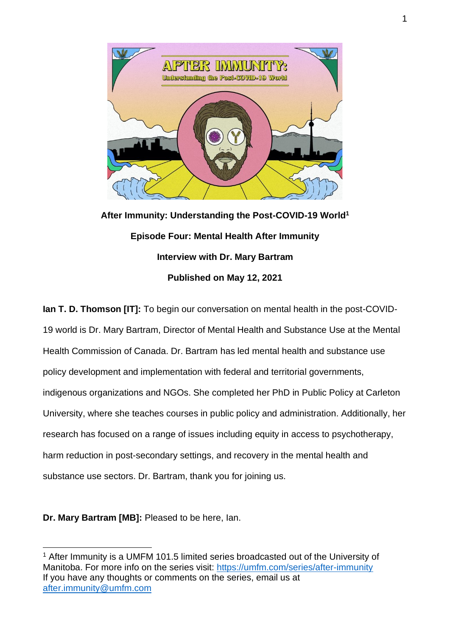

**After Immunity: Understanding the Post-COVID-19 World<sup>1</sup> Episode Four: Mental Health After Immunity Interview with Dr. Mary Bartram Published on May 12, 2021**

**Ian T. D. Thomson [IT]:** To begin our conversation on mental health in the post-COVID-19 world is Dr. Mary Bartram, Director of Mental Health and Substance Use at the Mental Health Commission of Canada. Dr. Bartram has led mental health and substance use policy development and implementation with federal and territorial governments, indigenous organizations and NGOs. She completed her PhD in Public Policy at Carleton University, where she teaches courses in public policy and administration. Additionally, her research has focused on a range of issues including equity in access to psychotherapy, harm reduction in post-secondary settings, and recovery in the mental health and substance use sectors. Dr. Bartram, thank you for joining us.

**Dr. Mary Bartram [MB]:** Pleased to be here, Ian.

<sup>&</sup>lt;sup>1</sup> After Immunity is a UMFM 101.5 limited series broadcasted out of the University of Manitoba. For more info on the series visit:<https://umfm.com/series/after-immunity> If you have any thoughts or comments on the series, email us at [after.immunity@umfm.com](mailto:after.immunity@umfm.com)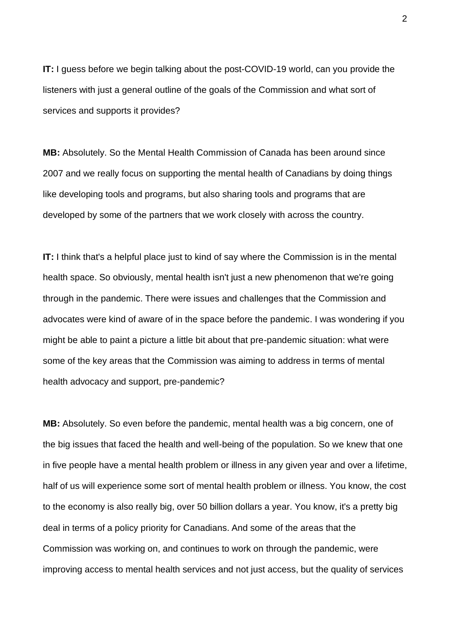**IT:** I guess before we begin talking about the post-COVID-19 world, can you provide the listeners with just a general outline of the goals of the Commission and what sort of services and supports it provides?

**MB:** Absolutely. So the Mental Health Commission of Canada has been around since 2007 and we really focus on supporting the mental health of Canadians by doing things like developing tools and programs, but also sharing tools and programs that are developed by some of the partners that we work closely with across the country.

**IT:** I think that's a helpful place just to kind of say where the Commission is in the mental health space. So obviously, mental health isn't just a new phenomenon that we're going through in the pandemic. There were issues and challenges that the Commission and advocates were kind of aware of in the space before the pandemic. I was wondering if you might be able to paint a picture a little bit about that pre-pandemic situation: what were some of the key areas that the Commission was aiming to address in terms of mental health advocacy and support, pre-pandemic?

**MB:** Absolutely. So even before the pandemic, mental health was a big concern, one of the big issues that faced the health and well-being of the population. So we knew that one in five people have a mental health problem or illness in any given year and over a lifetime, half of us will experience some sort of mental health problem or illness. You know, the cost to the economy is also really big, over 50 billion dollars a year. You know, it's a pretty big deal in terms of a policy priority for Canadians. And some of the areas that the Commission was working on, and continues to work on through the pandemic, were improving access to mental health services and not just access, but the quality of services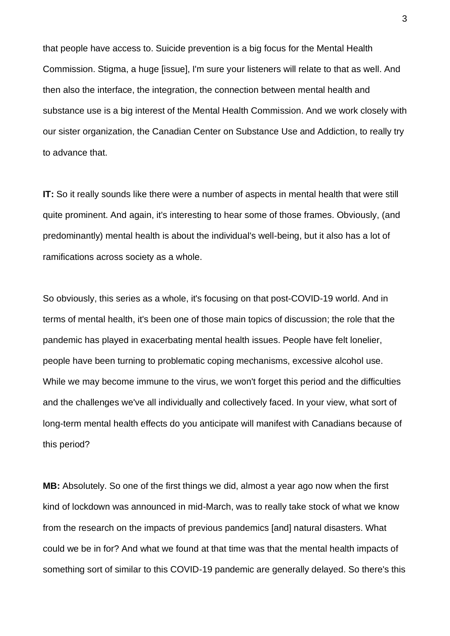that people have access to. Suicide prevention is a big focus for the Mental Health Commission. Stigma, a huge [issue], I'm sure your listeners will relate to that as well. And then also the interface, the integration, the connection between mental health and substance use is a big interest of the Mental Health Commission. And we work closely with our sister organization, the Canadian Center on Substance Use and Addiction, to really try to advance that.

**IT:** So it really sounds like there were a number of aspects in mental health that were still quite prominent. And again, it's interesting to hear some of those frames. Obviously, (and predominantly) mental health is about the individual's well-being, but it also has a lot of ramifications across society as a whole.

So obviously, this series as a whole, it's focusing on that post-COVID-19 world. And in terms of mental health, it's been one of those main topics of discussion; the role that the pandemic has played in exacerbating mental health issues. People have felt lonelier, people have been turning to problematic coping mechanisms, excessive alcohol use. While we may become immune to the virus, we won't forget this period and the difficulties and the challenges we've all individually and collectively faced. In your view, what sort of long-term mental health effects do you anticipate will manifest with Canadians because of this period?

**MB:** Absolutely. So one of the first things we did, almost a year ago now when the first kind of lockdown was announced in mid-March, was to really take stock of what we know from the research on the impacts of previous pandemics [and] natural disasters. What could we be in for? And what we found at that time was that the mental health impacts of something sort of similar to this COVID-19 pandemic are generally delayed. So there's this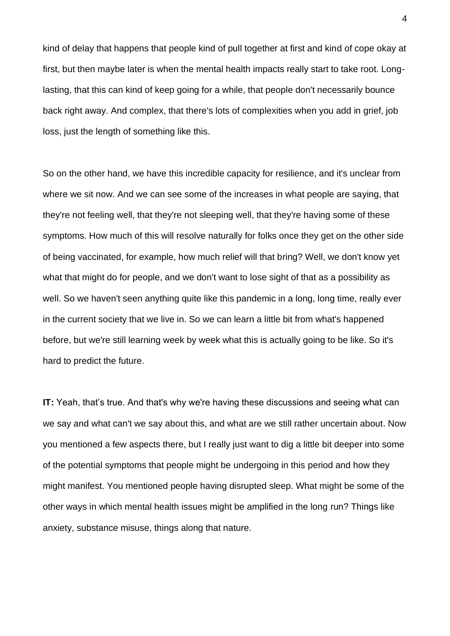kind of delay that happens that people kind of pull together at first and kind of cope okay at first, but then maybe later is when the mental health impacts really start to take root. Longlasting, that this can kind of keep going for a while, that people don't necessarily bounce back right away. And complex, that there's lots of complexities when you add in grief, job loss, just the length of something like this.

So on the other hand, we have this incredible capacity for resilience, and it's unclear from where we sit now. And we can see some of the increases in what people are saying, that they're not feeling well, that they're not sleeping well, that they're having some of these symptoms. How much of this will resolve naturally for folks once they get on the other side of being vaccinated, for example, how much relief will that bring? Well, we don't know yet what that might do for people, and we don't want to lose sight of that as a possibility as well. So we haven't seen anything quite like this pandemic in a long, long time, really ever in the current society that we live in. So we can learn a little bit from what's happened before, but we're still learning week by week what this is actually going to be like. So it's hard to predict the future.

**IT:** Yeah, that's true. And that's why we're having these discussions and seeing what can we say and what can't we say about this, and what are we still rather uncertain about. Now you mentioned a few aspects there, but I really just want to dig a little bit deeper into some of the potential symptoms that people might be undergoing in this period and how they might manifest. You mentioned people having disrupted sleep. What might be some of the other ways in which mental health issues might be amplified in the long run? Things like anxiety, substance misuse, things along that nature.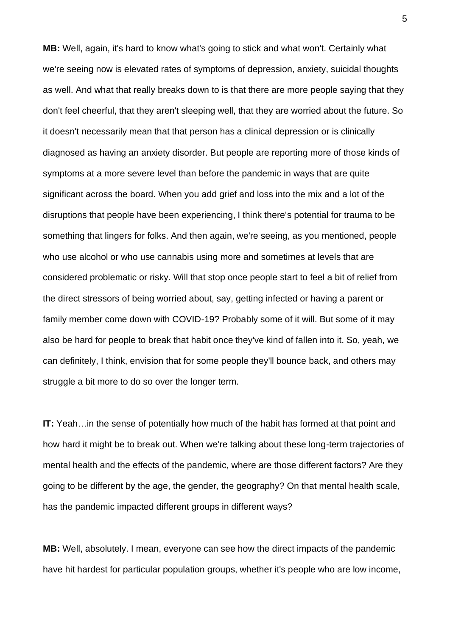**MB:** Well, again, it's hard to know what's going to stick and what won't. Certainly what we're seeing now is elevated rates of symptoms of depression, anxiety, suicidal thoughts as well. And what that really breaks down to is that there are more people saying that they don't feel cheerful, that they aren't sleeping well, that they are worried about the future. So it doesn't necessarily mean that that person has a clinical depression or is clinically diagnosed as having an anxiety disorder. But people are reporting more of those kinds of symptoms at a more severe level than before the pandemic in ways that are quite significant across the board. When you add grief and loss into the mix and a lot of the disruptions that people have been experiencing, I think there's potential for trauma to be something that lingers for folks. And then again, we're seeing, as you mentioned, people who use alcohol or who use cannabis using more and sometimes at levels that are considered problematic or risky. Will that stop once people start to feel a bit of relief from the direct stressors of being worried about, say, getting infected or having a parent or family member come down with COVID-19? Probably some of it will. But some of it may also be hard for people to break that habit once they've kind of fallen into it. So, yeah, we can definitely, I think, envision that for some people they'll bounce back, and others may struggle a bit more to do so over the longer term.

**IT:** Yeah... in the sense of potentially how much of the habit has formed at that point and how hard it might be to break out. When we're talking about these long-term trajectories of mental health and the effects of the pandemic, where are those different factors? Are they going to be different by the age, the gender, the geography? On that mental health scale, has the pandemic impacted different groups in different ways?

**MB:** Well, absolutely. I mean, everyone can see how the direct impacts of the pandemic have hit hardest for particular population groups, whether it's people who are low income,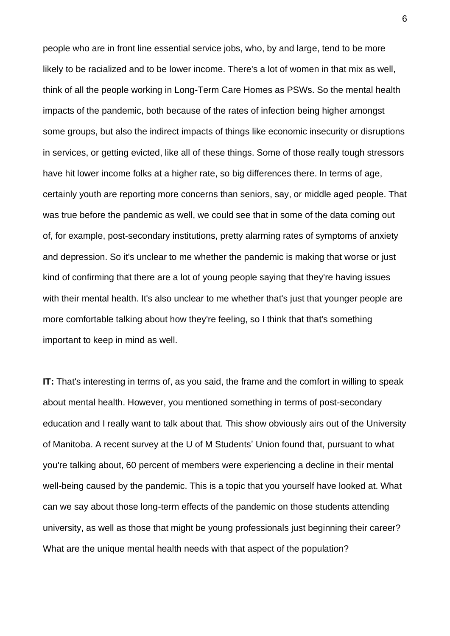people who are in front line essential service jobs, who, by and large, tend to be more likely to be racialized and to be lower income. There's a lot of women in that mix as well, think of all the people working in Long-Term Care Homes as PSWs. So the mental health impacts of the pandemic, both because of the rates of infection being higher amongst some groups, but also the indirect impacts of things like economic insecurity or disruptions in services, or getting evicted, like all of these things. Some of those really tough stressors have hit lower income folks at a higher rate, so big differences there. In terms of age, certainly youth are reporting more concerns than seniors, say, or middle aged people. That was true before the pandemic as well, we could see that in some of the data coming out of, for example, post-secondary institutions, pretty alarming rates of symptoms of anxiety and depression. So it's unclear to me whether the pandemic is making that worse or just kind of confirming that there are a lot of young people saying that they're having issues with their mental health. It's also unclear to me whether that's just that younger people are more comfortable talking about how they're feeling, so I think that that's something important to keep in mind as well.

**IT:** That's interesting in terms of, as you said, the frame and the comfort in willing to speak about mental health. However, you mentioned something in terms of post-secondary education and I really want to talk about that. This show obviously airs out of the University of Manitoba. A recent survey at the U of M Students' Union found that, pursuant to what you're talking about, 60 percent of members were experiencing a decline in their mental well-being caused by the pandemic. This is a topic that you yourself have looked at. What can we say about those long-term effects of the pandemic on those students attending university, as well as those that might be young professionals just beginning their career? What are the unique mental health needs with that aspect of the population?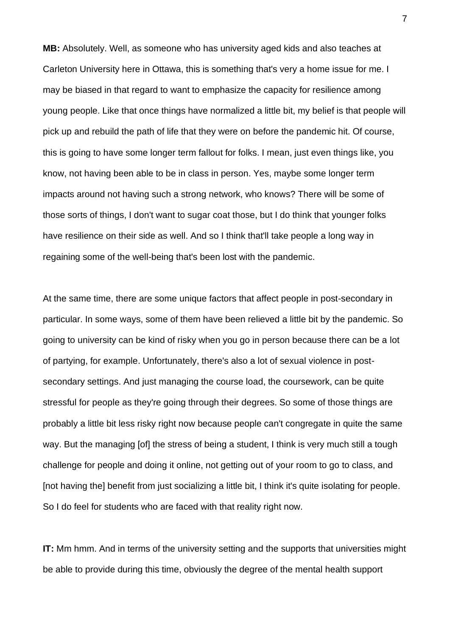**MB:** Absolutely. Well, as someone who has university aged kids and also teaches at Carleton University here in Ottawa, this is something that's very a home issue for me. I may be biased in that regard to want to emphasize the capacity for resilience among young people. Like that once things have normalized a little bit, my belief is that people will pick up and rebuild the path of life that they were on before the pandemic hit. Of course, this is going to have some longer term fallout for folks. I mean, just even things like, you know, not having been able to be in class in person. Yes, maybe some longer term impacts around not having such a strong network, who knows? There will be some of those sorts of things, I don't want to sugar coat those, but I do think that younger folks have resilience on their side as well. And so I think that'll take people a long way in regaining some of the well-being that's been lost with the pandemic.

At the same time, there are some unique factors that affect people in post-secondary in particular. In some ways, some of them have been relieved a little bit by the pandemic. So going to university can be kind of risky when you go in person because there can be a lot of partying, for example. Unfortunately, there's also a lot of sexual violence in postsecondary settings. And just managing the course load, the coursework, can be quite stressful for people as they're going through their degrees. So some of those things are probably a little bit less risky right now because people can't congregate in quite the same way. But the managing [of] the stress of being a student, I think is very much still a tough challenge for people and doing it online, not getting out of your room to go to class, and [not having the] benefit from just socializing a little bit, I think it's quite isolating for people. So I do feel for students who are faced with that reality right now.

**IT:** Mm hmm. And in terms of the university setting and the supports that universities might be able to provide during this time, obviously the degree of the mental health support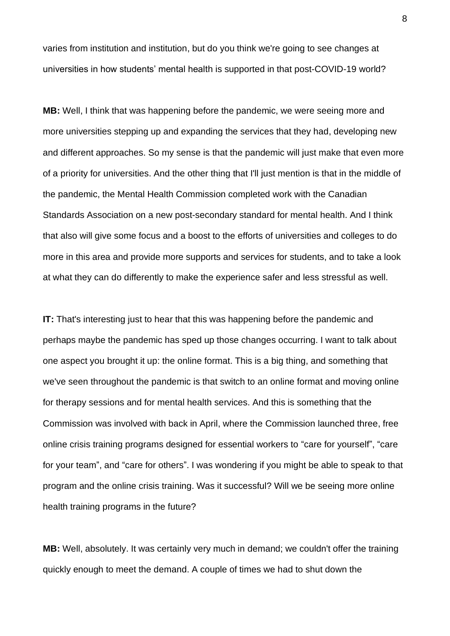varies from institution and institution, but do you think we're going to see changes at universities in how students' mental health is supported in that post-COVID-19 world?

**MB:** Well, I think that was happening before the pandemic, we were seeing more and more universities stepping up and expanding the services that they had, developing new and different approaches. So my sense is that the pandemic will just make that even more of a priority for universities. And the other thing that I'll just mention is that in the middle of the pandemic, the Mental Health Commission completed work with the Canadian Standards Association on a new post-secondary standard for mental health. And I think that also will give some focus and a boost to the efforts of universities and colleges to do more in this area and provide more supports and services for students, and to take a look at what they can do differently to make the experience safer and less stressful as well.

**IT:** That's interesting just to hear that this was happening before the pandemic and perhaps maybe the pandemic has sped up those changes occurring. I want to talk about one aspect you brought it up: the online format. This is a big thing, and something that we've seen throughout the pandemic is that switch to an online format and moving online for therapy sessions and for mental health services. And this is something that the Commission was involved with back in April, where the Commission launched three, free online crisis training programs designed for essential workers to "care for yourself", "care for your team", and "care for others". I was wondering if you might be able to speak to that program and the online crisis training. Was it successful? Will we be seeing more online health training programs in the future?

**MB:** Well, absolutely. It was certainly very much in demand; we couldn't offer the training quickly enough to meet the demand. A couple of times we had to shut down the

8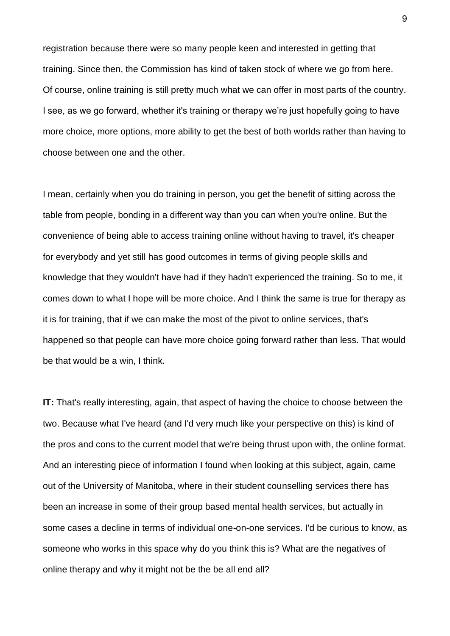registration because there were so many people keen and interested in getting that training. Since then, the Commission has kind of taken stock of where we go from here. Of course, online training is still pretty much what we can offer in most parts of the country. I see, as we go forward, whether it's training or therapy we're just hopefully going to have more choice, more options, more ability to get the best of both worlds rather than having to choose between one and the other.

I mean, certainly when you do training in person, you get the benefit of sitting across the table from people, bonding in a different way than you can when you're online. But the convenience of being able to access training online without having to travel, it's cheaper for everybody and yet still has good outcomes in terms of giving people skills and knowledge that they wouldn't have had if they hadn't experienced the training. So to me, it comes down to what I hope will be more choice. And I think the same is true for therapy as it is for training, that if we can make the most of the pivot to online services, that's happened so that people can have more choice going forward rather than less. That would be that would be a win, I think.

**IT:** That's really interesting, again, that aspect of having the choice to choose between the two. Because what I've heard (and I'd very much like your perspective on this) is kind of the pros and cons to the current model that we're being thrust upon with, the online format. And an interesting piece of information I found when looking at this subject, again, came out of the University of Manitoba, where in their student counselling services there has been an increase in some of their group based mental health services, but actually in some cases a decline in terms of individual one-on-one services. I'd be curious to know, as someone who works in this space why do you think this is? What are the negatives of online therapy and why it might not be the be all end all?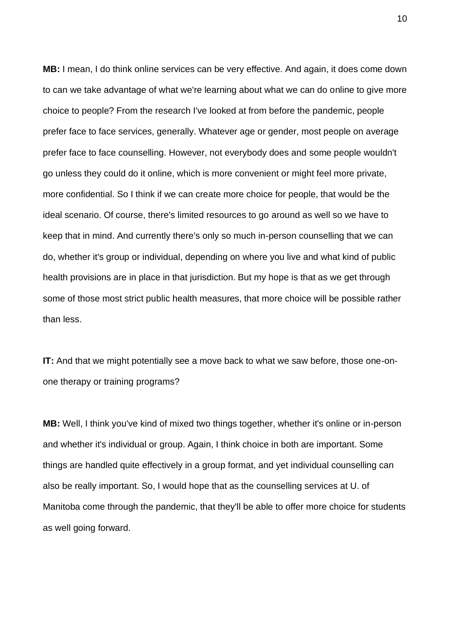**MB:** I mean, I do think online services can be very effective. And again, it does come down to can we take advantage of what we're learning about what we can do online to give more choice to people? From the research I've looked at from before the pandemic, people prefer face to face services, generally. Whatever age or gender, most people on average prefer face to face counselling. However, not everybody does and some people wouldn't go unless they could do it online, which is more convenient or might feel more private, more confidential. So I think if we can create more choice for people, that would be the ideal scenario. Of course, there's limited resources to go around as well so we have to keep that in mind. And currently there's only so much in-person counselling that we can do, whether it's group or individual, depending on where you live and what kind of public health provisions are in place in that jurisdiction. But my hope is that as we get through some of those most strict public health measures, that more choice will be possible rather than less.

**IT:** And that we might potentially see a move back to what we saw before, those one-onone therapy or training programs?

**MB:** Well, I think you've kind of mixed two things together, whether it's online or in-person and whether it's individual or group. Again, I think choice in both are important. Some things are handled quite effectively in a group format, and yet individual counselling can also be really important. So, I would hope that as the counselling services at U. of Manitoba come through the pandemic, that they'll be able to offer more choice for students as well going forward.

10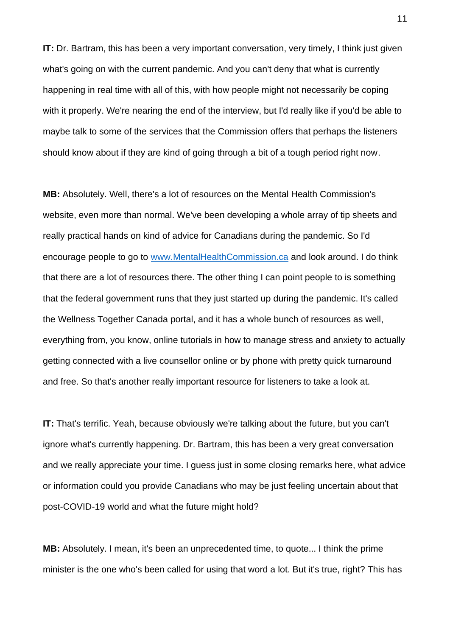**IT:** Dr. Bartram, this has been a very important conversation, very timely, I think just given what's going on with the current pandemic. And you can't deny that what is currently happening in real time with all of this, with how people might not necessarily be coping with it properly. We're nearing the end of the interview, but I'd really like if you'd be able to maybe talk to some of the services that the Commission offers that perhaps the listeners should know about if they are kind of going through a bit of a tough period right now.

**MB:** Absolutely. Well, there's a lot of resources on the Mental Health Commission's website, even more than normal. We've been developing a whole array of tip sheets and really practical hands on kind of advice for Canadians during the pandemic. So I'd encourage people to go to [www.MentalHealthCommission.ca](http://www.mentalhealthcommission.ca/) and look around. I do think that there are a lot of resources there. The other thing I can point people to is something that the federal government runs that they just started up during the pandemic. It's called the Wellness Together Canada portal, and it has a whole bunch of resources as well, everything from, you know, online tutorials in how to manage stress and anxiety to actually getting connected with a live counsellor online or by phone with pretty quick turnaround and free. So that's another really important resource for listeners to take a look at.

**IT:** That's terrific. Yeah, because obviously we're talking about the future, but you can't ignore what's currently happening. Dr. Bartram, this has been a very great conversation and we really appreciate your time. I guess just in some closing remarks here, what advice or information could you provide Canadians who may be just feeling uncertain about that post-COVID-19 world and what the future might hold?

**MB:** Absolutely. I mean, it's been an unprecedented time, to quote... I think the prime minister is the one who's been called for using that word a lot. But it's true, right? This has